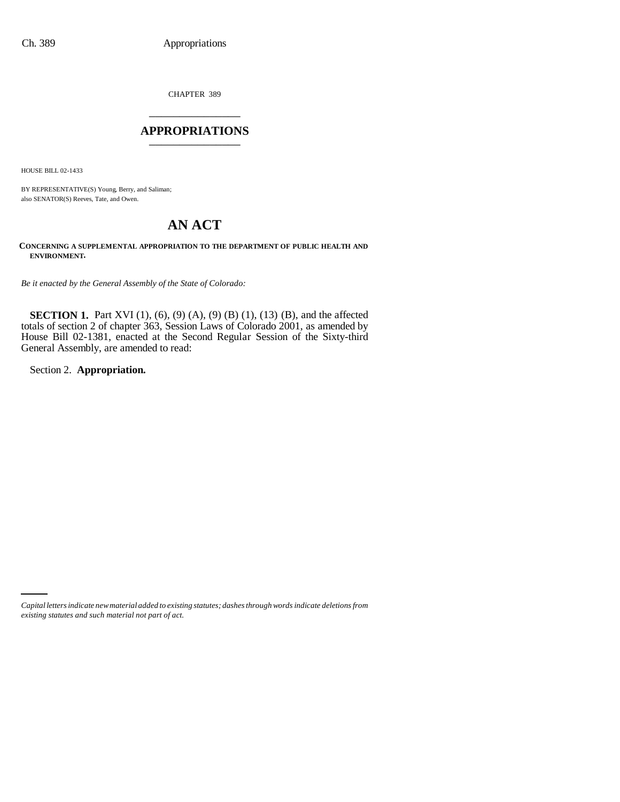CHAPTER 389 \_\_\_\_\_\_\_\_\_\_\_\_\_\_\_

## **APPROPRIATIONS** \_\_\_\_\_\_\_\_\_\_\_\_\_\_\_

HOUSE BILL 02-1433

BY REPRESENTATIVE(S) Young, Berry, and Saliman; also SENATOR(S) Reeves, Tate, and Owen.

# **AN ACT**

**CONCERNING A SUPPLEMENTAL APPROPRIATION TO THE DEPARTMENT OF PUBLIC HEALTH AND ENVIRONMENT.**

*Be it enacted by the General Assembly of the State of Colorado:*

**SECTION 1.** Part XVI (1), (6), (9) (A), (9) (B) (1), (13) (B), and the affected totals of section 2 of chapter 363, Session Laws of Colorado 2001, as amended by House Bill 02-1381, enacted at the Second Regular Session of the Sixty-third General Assembly, are amended to read:

Section 2. **Appropriation.**

*Capital letters indicate new material added to existing statutes; dashes through words indicate deletions from existing statutes and such material not part of act.*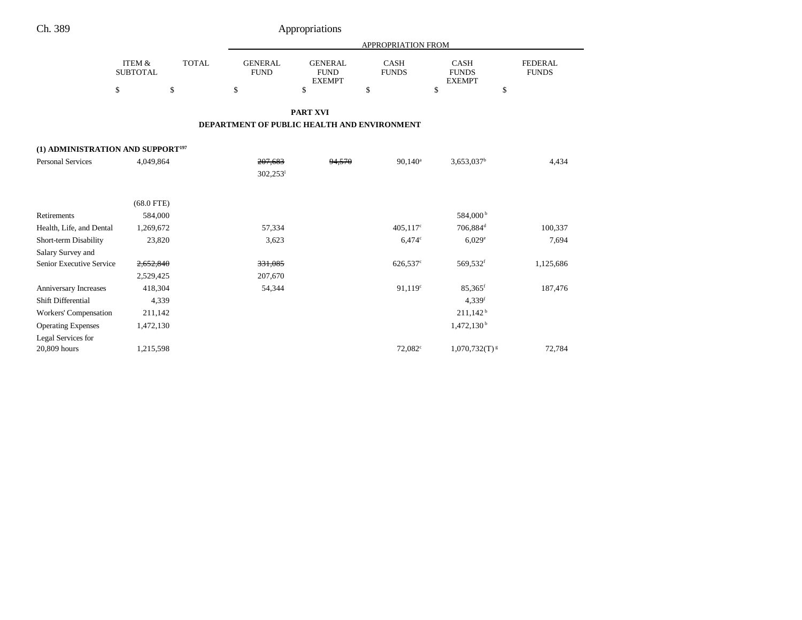|                                               |                                            |                    |                                     |                                                      | APPROPRIATION FROM         |                                                    |                                      |
|-----------------------------------------------|--------------------------------------------|--------------------|-------------------------------------|------------------------------------------------------|----------------------------|----------------------------------------------------|--------------------------------------|
|                                               | <b>ITEM &amp;</b><br><b>SUBTOTAL</b><br>\$ | <b>TOTAL</b><br>\$ | <b>GENERAL</b><br><b>FUND</b><br>\$ | <b>GENERAL</b><br><b>FUND</b><br><b>EXEMPT</b><br>\$ | CASH<br><b>FUNDS</b><br>\$ | <b>CASH</b><br><b>FUNDS</b><br><b>EXEMPT</b><br>\$ | <b>FEDERAL</b><br><b>FUNDS</b><br>\$ |
|                                               |                                            |                    |                                     | <b>PART XVI</b>                                      |                            |                                                    |                                      |
|                                               |                                            |                    |                                     | DEPARTMENT OF PUBLIC HEALTH AND ENVIRONMENT          |                            |                                                    |                                      |
| (1) ADMINISTRATION AND SUPPORT <sup>197</sup> |                                            |                    |                                     |                                                      |                            |                                                    |                                      |
| <b>Personal Services</b>                      | 4,049,864                                  |                    | 207,683<br>$302,253$ <sup>1</sup>   | 94,570                                               | $90.140^a$                 | $3,653,037^b$                                      | 4,434                                |
|                                               | $(68.0$ FTE)                               |                    |                                     |                                                      |                            |                                                    |                                      |
| Retirements                                   | 584,000                                    |                    |                                     |                                                      |                            | 584,000 <sup>b</sup>                               |                                      |
| Health, Life, and Dental                      | 1,269,672                                  |                    | 57,334                              |                                                      | $405,117$ °                | 706,884 <sup>d</sup>                               | 100,337                              |
| Short-term Disability                         | 23,820                                     |                    | 3,623                               |                                                      | $6,474^{\circ}$            | $6,029^{\circ}$                                    | 7,694                                |
| Salary Survey and                             |                                            |                    |                                     |                                                      |                            |                                                    |                                      |
| Senior Executive Service                      | 2,652,840                                  |                    | 331,085                             |                                                      | 626,537°                   | 569,532f                                           | 1,125,686                            |
|                                               | 2,529,425                                  |                    | 207,670                             |                                                      |                            |                                                    |                                      |
| Anniversary Increases                         | 418,304                                    |                    | 54,344                              |                                                      | 91,119°                    | $85,365$ <sup>f</sup>                              | 187,476                              |
| Shift Differential                            | 4,339                                      |                    |                                     |                                                      |                            | 4,339f                                             |                                      |
| Workers' Compensation                         | 211,142                                    |                    |                                     |                                                      |                            | $211,142^b$                                        |                                      |
| <b>Operating Expenses</b>                     | 1,472,130                                  |                    |                                     |                                                      |                            | 1,472,130 <sup>b</sup>                             |                                      |
| Legal Services for                            |                                            |                    |                                     |                                                      |                            |                                                    |                                      |
| 20,809 hours                                  | 1,215,598                                  |                    |                                     |                                                      | 72,082 <sup>c</sup>        | $1,070,732(T)^{g}$                                 | 72,784                               |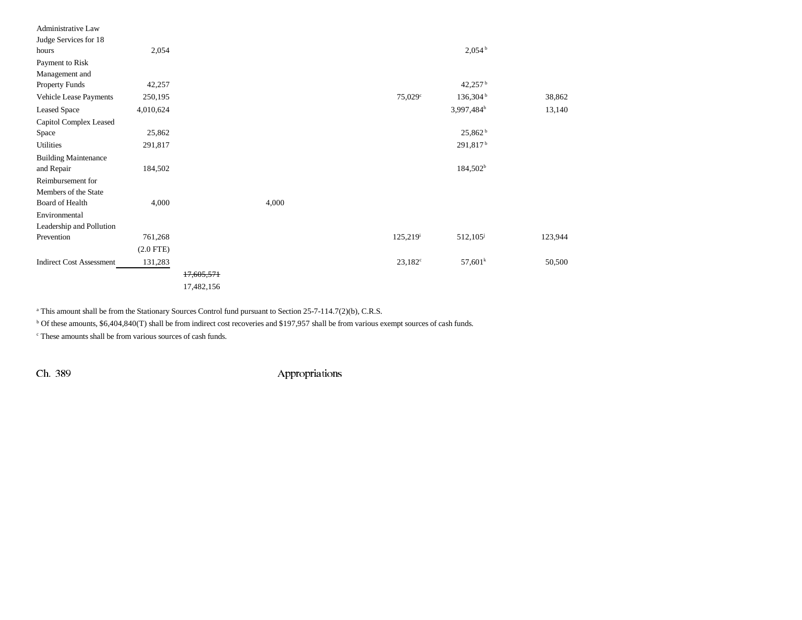| Administrative Law              |                |            |       |                        |                       |         |
|---------------------------------|----------------|------------|-------|------------------------|-----------------------|---------|
| Judge Services for 18           |                |            |       |                        |                       |         |
| hours                           | 2,054          |            |       |                        | $2,054^{\mathrm{b}}$  |         |
| Payment to Risk                 |                |            |       |                        |                       |         |
| Management and                  |                |            |       |                        |                       |         |
| <b>Property Funds</b>           | 42,257         |            |       |                        | $42,257^{\mathrm{b}}$ |         |
| Vehicle Lease Payments          | 250,195        |            |       | 75,029°                | 136,304 <sup>b</sup>  | 38,862  |
| <b>Leased Space</b>             | 4,010,624      |            |       |                        | 3,997,484h            | 13,140  |
| Capitol Complex Leased          |                |            |       |                        |                       |         |
| Space                           | 25,862         |            |       |                        | 25,862 <sup>b</sup>   |         |
| Utilities                       | 291,817        |            |       |                        | 291,817 <sup>b</sup>  |         |
| <b>Building Maintenance</b>     |                |            |       |                        |                       |         |
| and Repair                      | 184,502        |            |       |                        | $184,502^b$           |         |
| Reimbursement for               |                |            |       |                        |                       |         |
| Members of the State            |                |            |       |                        |                       |         |
| Board of Health                 | 4,000          |            | 4,000 |                        |                       |         |
| Environmental                   |                |            |       |                        |                       |         |
| Leadership and Pollution        |                |            |       |                        |                       |         |
| Prevention                      | 761,268        |            |       | $125,219^{\mathrm{i}}$ | 512,105 <sup>j</sup>  | 123,944 |
|                                 | $(2.0$ FTE $)$ |            |       |                        |                       |         |
| <b>Indirect Cost Assessment</b> | 131,283        |            |       | $23,182^{\circ}$       | 57,601 <sup>k</sup>   | 50,500  |
|                                 |                | 17,605,571 |       |                        |                       |         |
|                                 |                | 17,482,156 |       |                        |                       |         |

<sup>a</sup> This amount shall be from the Stationary Sources Control fund pursuant to Section 25-7-114.7(2)(b), C.R.S.

<sup>b</sup> Of these amounts, \$6,404,840(T) shall be from indirect cost recoveries and \$197,957 shall be from various exempt sources of cash funds.

c These amounts shall be from various sources of cash funds.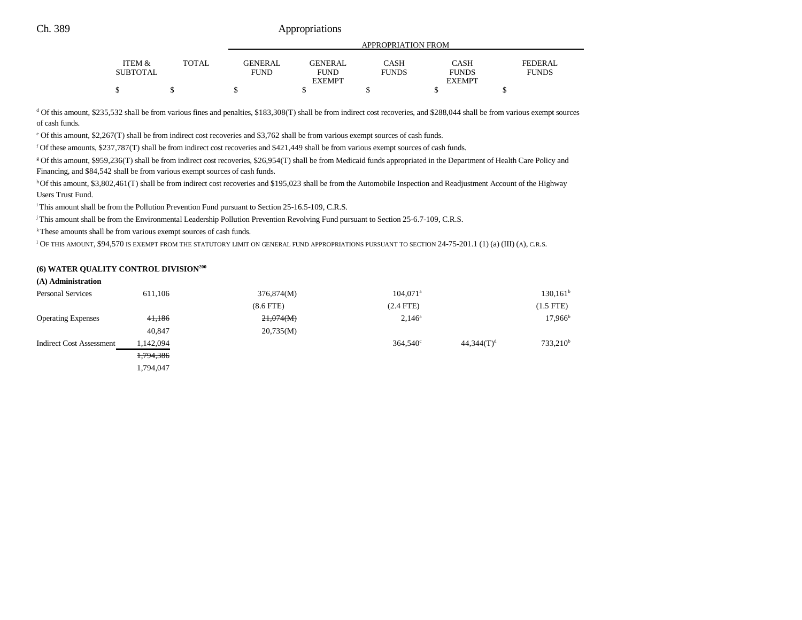# Ch. 389 Appropriations

| <b>ITEM &amp;</b> | <b>TOTAL</b> | <b>GENERAL</b> | <b>GENERAL</b> | CASH         | <b>CASH</b>   | <b>FEDERAL</b> |
|-------------------|--------------|----------------|----------------|--------------|---------------|----------------|
| <b>SUBTOTAL</b>   |              | FUND           | FUND           | <b>FUNDS</b> | <b>FUNDS</b>  | <b>FUNDS</b>   |
|                   |              |                | <b>EXEMPT</b>  |              | <b>EXEMPT</b> |                |
| S                 |              |                |                |              |               |                |

<sup>d</sup> Of this amount, \$235,532 shall be from various fines and penalties, \$183,308(T) shall be from indirect cost recoveries, and \$288,044 shall be from various exempt sources of cash funds.

e Of this amount, \$2,267(T) shall be from indirect cost recoveries and \$3,762 shall be from various exempt sources of cash funds.

f Of these amounts, \$237,787(T) shall be from indirect cost recoveries and \$421,449 shall be from various exempt sources of cash funds.

g Of this amount, \$959,236(T) shall be from indirect cost recoveries, \$26,954(T) shall be from Medicaid funds appropriated in the Department of Health Care Policy and Financing, and \$84,542 shall be from various exempt sources of cash funds.

h Of this amount, \$3,802,461(T) shall be from indirect cost recoveries and \$195,023 shall be from the Automobile Inspection and Readjustment Account of the Highway Users Trust Fund.

<sup>i</sup> This amount shall be from the Pollution Prevention Fund pursuant to Section 25-16.5-109, C.R.S.

j This amount shall be from the Environmental Leadership Pollution Prevention Revolving Fund pursuant to Section 25-6.7-109, C.R.S.

k These amounts shall be from various exempt sources of cash funds.

l OF THIS AMOUNT, \$94,570 IS EXEMPT FROM THE STATUTORY LIMIT ON GENERAL FUND APPROPRIATIONS PURSUANT TO SECTION 24-75-201.1 (1) (a) (III) (A), C.R.S.

#### **(6) WATER QUALITY CONTROL DIVISION200**

**(A) Administration**

| <b>Personal Services</b>  | 611,106   | 376,874(M)     | $104.071$ <sup>a</sup> |               | $130, 161^{\rm b}$   |
|---------------------------|-----------|----------------|------------------------|---------------|----------------------|
|                           |           | $(8.6$ FTE $)$ | $(2.4$ FTE)            |               | $(1.5$ FTE)          |
| <b>Operating Expenses</b> | 41,186    | 21,074(M)      | $2,146^{\circ}$        |               | $17,966^{\rm b}$     |
|                           | 40,847    | 20,735(M)      |                        |               |                      |
| Indirect Cost Assessment  | 1,142,094 |                | $364,540^{\circ}$      | $44,344(T)^d$ | 733,210 <sup>b</sup> |
|                           | 1,794,386 |                |                        |               |                      |
|                           | 1.794.047 |                |                        |               |                      |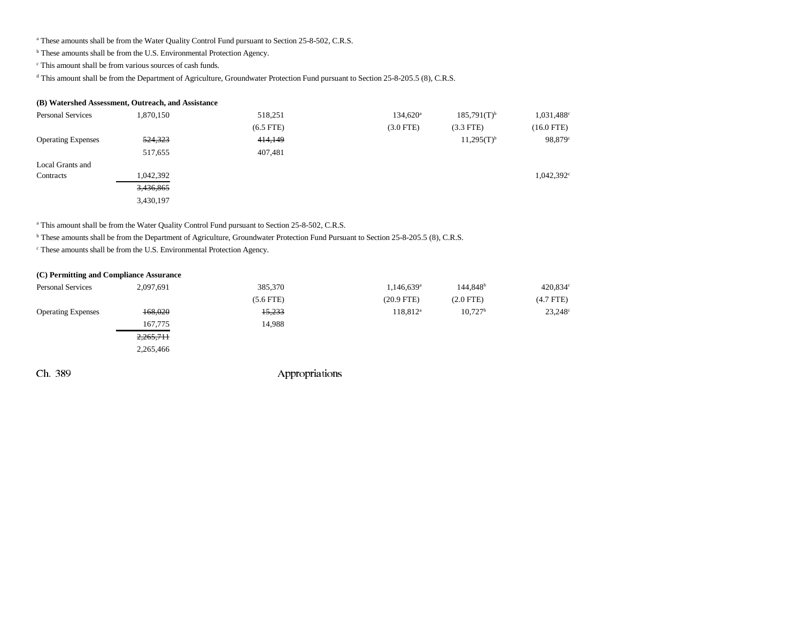<sup>a</sup> These amounts shall be from the Water Quality Control Fund pursuant to Section 25-8-502, C.R.S.

**b** These amounts shall be from the U.S. Environmental Protection Agency.

c This amount shall be from various sources of cash funds.

<sup>d</sup> This amount shall be from the Department of Agriculture, Groundwater Protection Fund pursuant to Section 25-8-205.5 (8), C.R.S.

### **(B) Watershed Assessment, Outreach, and Assistance**

| <b>Personal Services</b>  | 1,870,150 | 518,251        | $134,620^{\circ}$ | $185,791(T)^{b}$ | 1,031,488 <sup>c</sup> |
|---------------------------|-----------|----------------|-------------------|------------------|------------------------|
|                           |           | $(6.5$ FTE $)$ | $(3.0$ FTE)       | $(3.3$ FTE)      | $(16.0$ FTE)           |
| <b>Operating Expenses</b> | 524,323   | 414,149        |                   | $11,295(T)^{b}$  | 98,879°                |
|                           | 517,655   | 407,481        |                   |                  |                        |
| Local Grants and          |           |                |                   |                  |                        |
| Contracts                 | 1,042,392 |                |                   |                  | $1,042,392^{\circ}$    |
|                           | 3,436,865 |                |                   |                  |                        |
|                           | 3,430,197 |                |                   |                  |                        |

<sup>a</sup> This amount shall be from the Water Quality Control Fund pursuant to Section 25-8-502, C.R.S.

b These amounts shall be from the Department of Agriculture, Groundwater Protection Fund Pursuant to Section 25-8-205.5 (8), C.R.S.

c These amounts shall be from the U.S. Environmental Protection Agency.

| (C) Permitting and Compliance Assurance |           |                |                          |                        |             |
|-----------------------------------------|-----------|----------------|--------------------------|------------------------|-------------|
| <b>Personal Services</b>                | 2,097,691 | 385,370        | $1,146,639$ <sup>a</sup> | $144,848$ <sup>b</sup> | 420,834     |
|                                         |           | $(5.6$ FTE $)$ | $(20.9$ FTE)             | $(2.0$ FTE $)$         | $(4.7$ FTE) |
| <b>Operating Expenses</b>               | 168,020   | 15,233         | $118,812^a$              | 10.727 <sup>b</sup>    | 23,248      |
|                                         | 167,775   | 14,988         |                          |                        |             |
|                                         | 2,265,711 |                |                          |                        |             |
|                                         | 2,265,466 |                |                          |                        |             |
|                                         |           |                |                          |                        |             |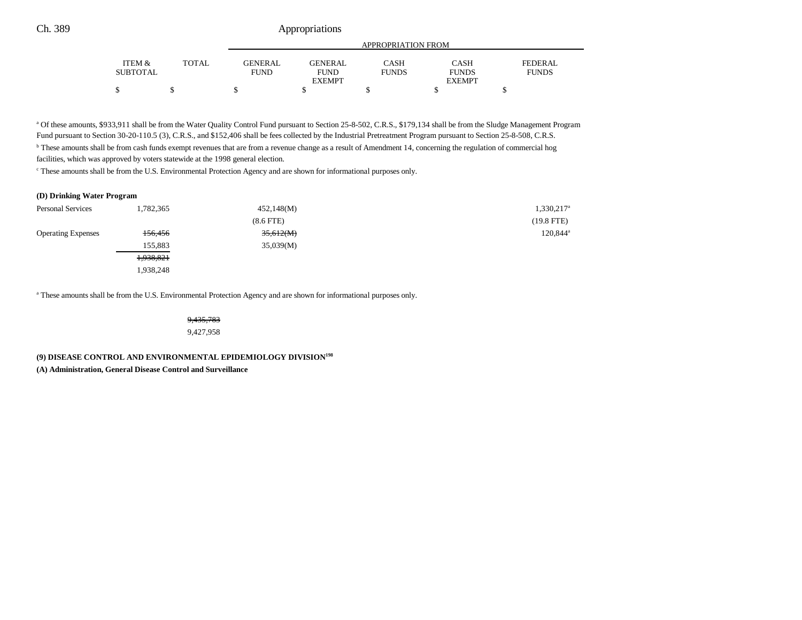## Ch. 389 Appropriations

|                 |       | APPROPRIATION FROM |                |              |               |              |
|-----------------|-------|--------------------|----------------|--------------|---------------|--------------|
| ITEM &          | TOTAL | GENERAL.           | <b>GENERAL</b> | CASH         | CASH          | FEDERAL      |
| <b>SUBTOTAL</b> |       | <b>FUND</b>        | <b>FUND</b>    | <b>FUNDS</b> | <b>FUNDS</b>  | <b>FUNDS</b> |
|                 |       |                    | <b>EXEMPT</b>  |              | <b>EXEMPT</b> |              |
|                 |       |                    |                |              |               |              |

a Of these amounts, \$933,911 shall be from the Water Quality Control Fund pursuant to Section 25-8-502, C.R.S., \$179,134 shall be from the Sludge Management Program Fund pursuant to Section 30-20-110.5 (3), C.R.S., and \$152,406 shall be fees collected by the Industrial Pretreatment Program pursuant to Section 25-8-508, C.R.S. <sup>b</sup> These amounts shall be from cash funds exempt revenues that are from a revenue change as a result of Amendment 14, concerning the regulation of commercial hog facilities, which was approved by voters statewide at the 1998 general election.

c These amounts shall be from the U.S. Environmental Protection Agency and are shown for informational purposes only.

#### **(D) Drinking Water Program**

| <b>Personal Services</b>  | 1,782,365 | 452,148(M)     | 1,330,217 <sup>a</sup> |
|---------------------------|-----------|----------------|------------------------|
|                           |           | $(8.6$ FTE $)$ | $(19.8$ FTE)           |
| <b>Operating Expenses</b> | 156,456   | 35,612(M)      | 120,844 <sup>a</sup>   |
|                           | 155.883   | 35,039(M)      |                        |
|                           | 1,938,821 |                |                        |
|                           | 1,938,248 |                |                        |

a These amounts shall be from the U.S. Environmental Protection Agency and are shown for informational purposes only.

9,435,783 9,427,958

**(9) DISEASE CONTROL AND ENVIRONMENTAL EPIDEMIOLOGY DIVISION198**

**(A) Administration, General Disease Control and Surveillance**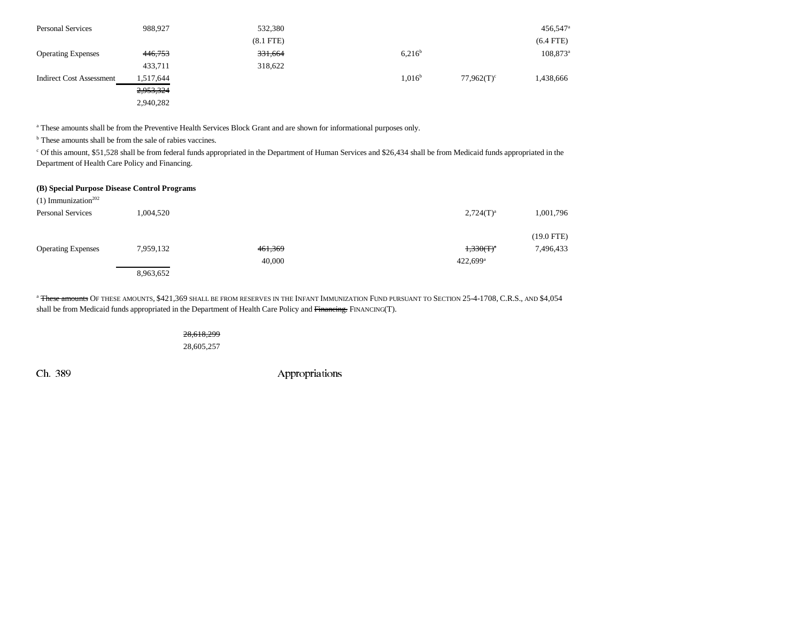| <b>Personal Services</b>        | 988.927   | 532,380        |                    |                          | $456,547$ <sup>a</sup> |
|---------------------------------|-----------|----------------|--------------------|--------------------------|------------------------|
|                                 |           | $(8.1$ FTE $)$ |                    |                          | $(6.4$ FTE)            |
| <b>Operating Expenses</b>       | 446,753   | 331,664        | 6.216 <sup>b</sup> |                          | $108,873^{\circ}$      |
|                                 | 433,711   | 318,622        |                    |                          |                        |
| <b>Indirect Cost Assessment</b> | 1,517,644 |                | 1.016 <sup>b</sup> | $77,962(T)$ <sup>c</sup> | 1,438,666              |
|                                 | 2,953,324 |                |                    |                          |                        |
|                                 | 2,940,282 |                |                    |                          |                        |

a These amounts shall be from the Preventive Health Services Block Grant and are shown for informational purposes only.

<sup>b</sup> These amounts shall be from the sale of rabies vaccines.

c Of this amount, \$51,528 shall be from federal funds appropriated in the Department of Human Services and \$26,434 shall be from Medicaid funds appropriated in the Department of Health Care Policy and Financing.

#### **(B) Special Purpose Disease Control Programs**

| $(1)$ Immunization <sup>202</sup> |           |         |                        |              |
|-----------------------------------|-----------|---------|------------------------|--------------|
| <b>Personal Services</b>          | 1,004,520 |         | $2,724(T)^{a}$         | 1,001,796    |
|                                   |           |         |                        |              |
|                                   |           |         |                        | $(19.0$ FTE) |
| <b>Operating Expenses</b>         | 7,959,132 | 461,369 | $1,330(T)^{a}$         | 7,496,433    |
|                                   |           | 40,000  | $422,699$ <sup>a</sup> |              |
|                                   | 8,963,652 |         |                        |              |

<sup>a</sup> These amounts OF THESE AMOUNTS, \$421,369 SHALL BE FROM RESERVES IN THE INFANT IMMUNIZATION FUND PURSUANT TO SECTION 25-4-1708, C.R.S., AND \$4,054 shall be from Medicaid funds appropriated in the Department of Health Care Policy and Financing. FINANCING(T).

> 28,618,299 28,605,257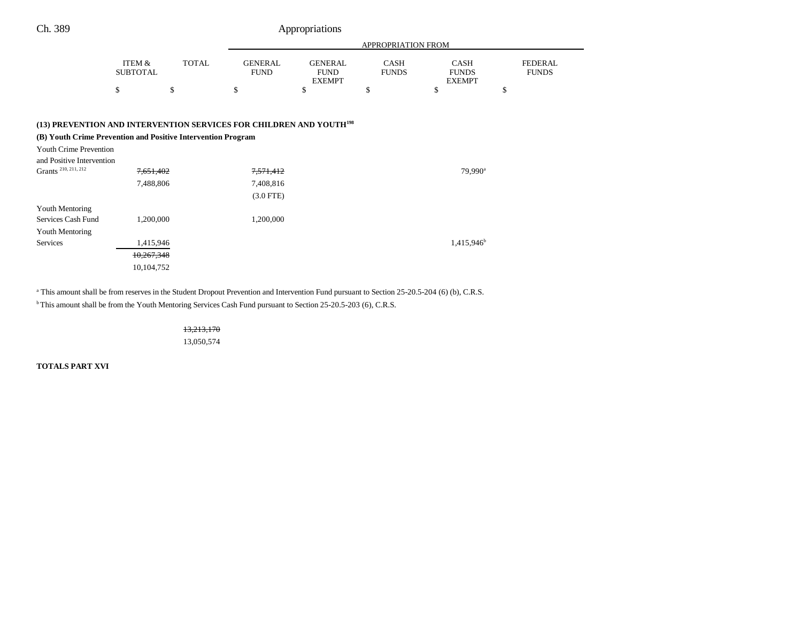|  |  | Appropriations |  |
|--|--|----------------|--|
|  |  |                |  |
|  |  |                |  |
|  |  |                |  |
|  |  |                |  |

|                                                                                                                                                                                                                                           |                                                    |              |                                                  |                                                | APPROPRIATION FROM   |                                              |                                |
|-------------------------------------------------------------------------------------------------------------------------------------------------------------------------------------------------------------------------------------------|----------------------------------------------------|--------------|--------------------------------------------------|------------------------------------------------|----------------------|----------------------------------------------|--------------------------------|
|                                                                                                                                                                                                                                           | ITEM &<br><b>SUBTOTAL</b>                          | <b>TOTAL</b> | <b>GENERAL</b><br><b>FUND</b>                    | <b>GENERAL</b><br><b>FUND</b><br><b>EXEMPT</b> | CASH<br><b>FUNDS</b> | <b>CASH</b><br><b>FUNDS</b><br><b>EXEMPT</b> | <b>FEDERAL</b><br><b>FUNDS</b> |
|                                                                                                                                                                                                                                           | \$                                                 | \$           | \$                                               | \$                                             | \$                   | \$                                           | \$                             |
| (13) PREVENTION AND INTERVENTION SERVICES FOR CHILDREN AND YOUTH <sup>198</sup><br>(B) Youth Crime Prevention and Positive Intervention Program<br>Youth Crime Prevention<br>and Positive Intervention<br>Grants <sup>210, 211, 212</sup> | 7,651,402<br>7,488,806                             |              | <del>7,571,412</del><br>7,408,816<br>$(3.0$ FTE) |                                                |                      | $79,990^{\rm a}$                             |                                |
| Youth Mentoring<br>Services Cash Fund<br>Youth Mentoring<br>Services                                                                                                                                                                      | 1,200,000<br>1,415,946<br>10,267,348<br>10,104,752 |              | 1,200,000                                        |                                                |                      | 1,415,946 <sup>b</sup>                       |                                |

<sup>a</sup> This amount shall be from reserves in the Student Dropout Prevention and Intervention Fund pursuant to Section 25-20.5-204 (6) (b), C.R.S.

<sup>b</sup> This amount shall be from the Youth Mentoring Services Cash Fund pursuant to Section 25-20.5-203 (6), C.R.S.

13,213,170 13,050,574

**TOTALS PART XVI**